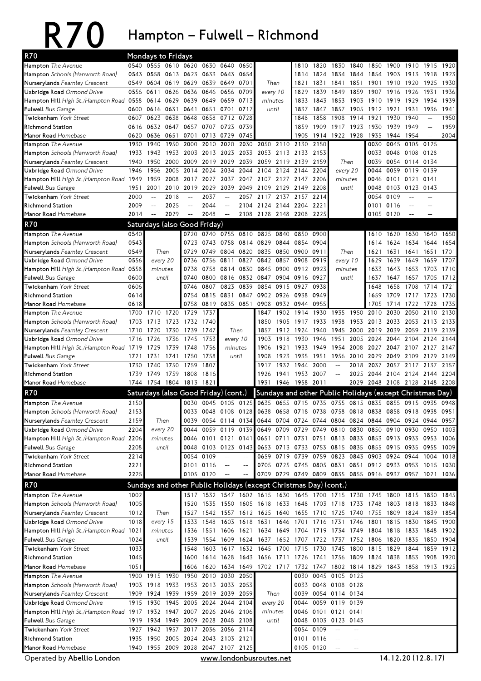## R70 Hampton – Fulwell – Richmond

| <b>R70</b>                                                            | Mondays to Fridays |                          |                |                                                                          |                     |                          |                          |                          |                |                                                                       |                 |                                                     |           |                               |           |                |                          |      |
|-----------------------------------------------------------------------|--------------------|--------------------------|----------------|--------------------------------------------------------------------------|---------------------|--------------------------|--------------------------|--------------------------|----------------|-----------------------------------------------------------------------|-----------------|-----------------------------------------------------|-----------|-------------------------------|-----------|----------------|--------------------------|------|
| <b>Hampton</b> The Avenue                                             | 0540               | 0555 0610 0620           |                |                                                                          | 0630                | 0640                     | 0650                     |                          |                | 1810                                                                  | 1820            | 1830                                                | 1840      | 1850                          | 1900      | 1910           | 1915                     | 1920 |
| Hampton Schools (Hanworth Road)                                       | 0543               |                          |                | 0558 0613 0623 0633 0643                                                 |                     |                          | 0654                     |                          |                | 1814                                                                  | 1824            | 1834                                                | 1844      | 1854                          | 1903 1913 |                | 1918                     | 1923 |
| Nurserylands Fearnley Crescent                                        | 0549               |                          | 0604 0619 0629 |                                                                          | 0639 0649           |                          | 0701                     | Then                     |                | 1821                                                                  | 1831            | 1841                                                | 1851      | 1901                          | 1910 1920 |                | 1925                     | 1930 |
| Uxbridge Road Ormond Drive                                            |                    | 0556 0611                | 0626           | 0636                                                                     | 0646                | 0656                     | 0709                     | every 10                 |                | 1829                                                                  | 1839            | 1849                                                | 1859      | 1907                          | 1916 1926 |                | 1931                     | 1936 |
| Hampton Hill High St./Hampton Road 0558                               |                    |                          | 0614 0629      | 0639                                                                     |                     | 0649 0659                | 0713                     | minutes                  |                | 1833                                                                  | 1843            | 1853 1903                                           |           | 1910 1919 1929                |           |                | 1934                     | 1939 |
| <b>Fulwell</b> Bus Garage                                             | 0600               | 0616 0631                |                | 0641                                                                     |                     | 0651 0701                | 0717                     | until                    |                | 1837                                                                  | 1847            | 1857                                                | 1905      | 1912                          | 1921      | 1931           | 1936                     | 1941 |
| Twickenham York Street                                                | 0607               | 0623                     | 0638           | 0648                                                                     | 0658                | 0712                     | 0728                     |                          |                | 1848                                                                  | 1858            | 1908                                                | 1914      | 1921                          | 1930      | 1940           | $\overline{\phantom{a}}$ | 1950 |
| <b>Richmond Station</b>                                               | 0616               |                          |                | 0632 0647 0657 0707 0723                                                 |                     |                          | 0739                     |                          |                | 1859                                                                  | 1909            | 1917 1923                                           |           | 1930                          | 1939 1949 |                | $\overline{\phantom{a}}$ | 1959 |
| Manor Road Homebase                                                   | 0620               | 0636 0651                |                | 0701                                                                     |                     | 0713 0729                | 0745                     |                          |                | 1905                                                                  |                 | 1914 1922 1928                                      |           | 1935                          | 1944 1954 |                | $\sim$ $\sim$            | 2004 |
| Hampton The Avenue                                                    | 1930               | 1940                     | 1950           | 2000                                                                     | 2010                | 2020                     | 2030                     | 2050                     | 2110 2130      |                                                                       | 2150            |                                                     |           | 0030                          |           | 0045 0105      | 0125                     |      |
| Hampton Schools (Hanworth Road)                                       | 1933               | 1943                     | 1953           | 2003                                                                     | 2013                | 2023                     | 2033                     |                          | 2053 2113      | 2133                                                                  | 2153            |                                                     |           | 0033                          | 0048 0108 |                | 0128                     |      |
| Nurserylands Fearnley Crescent                                        | 1940<br>1946       | 1950<br>1956             | 2000<br>2005   | 2009<br>2014                                                             | 2019                | 2029<br>2034             | 2039<br>2044             | 2059 2119<br>2104        | 2124           | 2139<br>2144                                                          | 2159<br>2204    | Then                                                |           | 0039<br>0044                  |           | 0054 0114 0134 | 0139                     |      |
| Uxbridge Road Ormond Drive<br>Hampton Hill High St./Hampton Road 1949 |                    | 1959                     | 2008           | 2017                                                                     | 2024<br>2027        | 2037                     | 2047                     |                          |                | 2107 2127 2147 2206                                                   |                 | every 20<br>minutes                                 |           | 0046                          | 0101 0121 | 0059 0119      | 0141                     |      |
| <b>Fulwell</b> Bus Garage                                             | 1951               | 2001                     | 2010           | 2019                                                                     | 2029                | 2039                     | 2049                     | 2109                     | 2129           | 2149                                                                  | 2208            | until                                               |           | 0048                          | 0103 0123 |                | 0143                     |      |
| Twickenham York Street                                                | 2000               | $\overline{\phantom{m}}$ | 2018           | $\overline{a}$                                                           | 2037                |                          | 2057                     | 2117                     | 2137           | 2157                                                                  | 2214            |                                                     |           | 0054                          | 0109      |                |                          |      |
| <b>Richmond Station</b>                                               | 2009               | $\mathbf{L}$             | 2025           | $\overline{a}$                                                           | 2044                | $\overline{a}$           | 2104                     | 2124 2144                |                | 2204                                                                  | 2221            |                                                     |           | 0101                          | 0116      |                |                          |      |
| Manor Road Homebase                                                   | 2014               | $\overline{\phantom{m}}$ | 2029           | $\rightarrow$                                                            | 2048                | $\overline{\phantom{m}}$ | 2108                     | 2128 2148 2208           |                |                                                                       | 2225            |                                                     |           | 0105                          | 0120      |                |                          |      |
| <b>R70</b>                                                            |                    |                          |                | Saturdays (also Good Friday)                                             |                     |                          |                          |                          |                |                                                                       |                 |                                                     |           |                               |           |                |                          |      |
| Hampton The Avenue                                                    | 0540               |                          |                | 0720                                                                     |                     | 0740 0755                | 0810                     | 0825                     | 0840           | 0850                                                                  | 0900            |                                                     |           | 1610                          | 1620      | 1630           | 1640                     | 1650 |
| <b>Hampton</b> Schools (Hanworth Road)                                | 0543               |                          |                | 0723                                                                     |                     | 0743 0758                |                          | 0814 0829                | 0844           | 0854                                                                  | 0904            |                                                     |           | 1614                          | 1624      | 1634           | 1644                     | 1654 |
| Nurserylands Fearnley Crescent                                        | 0549               |                          | Then           | 0729                                                                     | 0749                | 0804                     |                          | 0820 0835 0850           |                | 0900                                                                  | 0911            |                                                     |           | 1621                          | 1631      | 1641           | 1651                     | 1701 |
| Uxbridge Road Ormond Drive                                            | 0556               |                          | every 20       | 0736                                                                     | 0756                | 0811                     | 0827                     | 0842                     | 0857           | 0908                                                                  | 0919            | Then<br>every 10                                    |           | 1629                          | 1639      | 1649           | 1659                     | 1707 |
| Hampton Hill High St./Hampton Road 0558                               |                    |                          | minutes        | 0738                                                                     | 0758                | 0814                     | 0830                     | 0845 0900                |                | 0912                                                                  | 0923<br>minutes |                                                     |           | 1633                          |           | 1643 1653      | 1703                     | 1710 |
| <b>Fulwell</b> Bus Garage                                             | 0600               |                          | until          | 0740                                                                     | 0800                | 0816                     | 0832                     | 0847                     | 0904           | 0916                                                                  | 0927            | until                                               |           | 1637                          | 1647      | 1657           | 1705                     | 1712 |
| Twickenham York Street                                                | 0606               |                          |                | 0746                                                                     | 0807                | 0823                     | 0839                     | 0854                     | 0915           | 0927                                                                  | 0938            |                                                     |           | 1648                          | 1658      | 1708           | 1714                     | 1721 |
| <b>Richmond Station</b>                                               | 0614               |                          |                | 0754                                                                     |                     | 0815 0831                | 0847                     |                          | 0902 0926 0938 |                                                                       | 0949            |                                                     |           | 1659                          |           | 1709 1717 1723 |                          | 1730 |
| Manor Road Homebase                                                   | 0618               |                          |                | 0758                                                                     |                     |                          | 0819 0835 0851           |                          |                | 0908 0932 0944 0955                                                   |                 |                                                     |           | 1705                          |           | 1714 1722 1728 |                          | 1735 |
| <b>Hampton</b> The Avenue                                             | 1700               | 1710                     | 1720           | 1729                                                                     | 1737                |                          |                          | 1847                     | 1902           | 1914                                                                  | 1930            | 1935                                                | 1950      | 2010                          | 2030      | 2050           | 2110                     | 2130 |
| Hampton Schools (Hanworth Road)                                       | 1703               | 1713                     | 1723           | 1732                                                                     | 1740                |                          |                          | 1850                     | 1905           | 1917                                                                  | 1933            | 1938                                                | 1953      | 2013                          | 2033 2053 |                | 2113                     | 2133 |
| Nurserylands Fearnley Crescent                                        | 1710               | 1720                     | 1730           | 1739                                                                     | 1747                |                          | Then                     | 1857                     | 1912           | 1924                                                                  | 1940            | 1945 2000                                           |           | 2019                          | 2039      | 2059           | 2119                     | 2139 |
| Uxbridge Road Ormond Drive                                            | 1716               | 1726                     | 1736           | 1745                                                                     | 1753                | every 10                 |                          | 1903                     | 1918           | 1930                                                                  | 1946            | 1951                                                | 2005      | 2024                          | 2044      | 2104           | 2124                     | 2144 |
| Hampton Hill High St./Hampton Road 1719                               |                    | 1729                     | 1739           | 1748                                                                     | 1756                | minutes                  |                          | 1906                     | 1921           | 1933                                                                  | 1949            | 1954                                                | 2008      | 2027                          |           | 2047 2107 2127 |                          | 2147 |
| <b>Fulwell</b> Bus Garage                                             |                    |                          |                |                                                                          |                     |                          |                          |                          |                |                                                                       |                 |                                                     |           |                               |           |                |                          |      |
|                                                                       | 1721               | 1731                     | 1741           | 1750                                                                     | 1758                |                          | until                    | 1908                     | 1923           | 1935                                                                  | 1951            |                                                     | 1956 2010 | 2029                          | 2049      | 2109           | 2129                     | 2149 |
| Twickenham York Street                                                | 1730               | 1740                     | 1750           | 1759                                                                     | 1807                |                          |                          | 1917                     | 1932           | 1944                                                                  | 2000            | $\overline{\phantom{m}}$                            | 2018      | 2037                          |           | 2057 2117      | 2137                     | 2157 |
| <b>Richmond Station</b>                                               | 1739               | 1749                     | 1759           | 1808                                                                     | 1816                |                          |                          | 1926                     |                | 1941 1953 2007                                                        |                 | $\overline{a}$                                      | 2025      | 2044                          |           | 2104 2124      | 2144 2204                |      |
| Manor Road Homebase                                                   |                    |                          |                | 1744 1754 1804 1813 1821                                                 |                     |                          |                          | 1931                     |                | 1946 1958 2011                                                        |                 | $\hspace{0.05cm} -\hspace{0.05cm} -\hspace{0.05cm}$ |           | 2029 2048 2108 2128 2148 2208 |           |                |                          |      |
| <b>R70</b>                                                            |                    |                          |                | Saturdays (also Good Friday) (cont.)                                     |                     |                          |                          |                          |                | Sundays and other Public Holidays (except Christmas Day)              |                 |                                                     |           |                               |           |                |                          |      |
| <b>Hampton</b> The Avenue                                             | 2150               |                          |                | 0030                                                                     | 0045 0105 0125      |                          |                          |                          |                | 0635 0655 0715 0735 0755 0815 0835 0855 0915 0935 0948                |                 |                                                     |           |                               |           |                |                          |      |
| Hampton Schools (Hanworth Road)                                       | 2153               |                          |                | 0033                                                                     |                     |                          |                          |                          |                | 0048 0108 0128 0638 0658 0718 0738 0758 0818 0838 0858 0918 0938 0951 |                 |                                                     |           |                               |           |                |                          |      |
| Nurserylands Fearnley Crescent                                        | 2159               |                          | Then           | 0039                                                                     |                     |                          | 0054 0114 0134           |                          |                | 0644 0704 0724 0744 0804 0824 0844 0904 0924 0944 0957                |                 |                                                     |           |                               |           |                |                          |      |
| Uxbridge Road Ormond Drive                                            | 2204               |                          | every 20       | 0044                                                                     |                     | 0059 0119 0139           |                          |                          |                | 0649 0709 0729 0749                                                   |                 | 0810                                                | 0830      | 0850                          |           | 0910 0930      | 0950                     | 1003 |
| Hampton Hill High St./Hampton Road 2206                               |                    |                          | minutes        |                                                                          | 0046 0101 0121 0141 |                          |                          |                          |                | 0651 0711 0731 0751                                                   |                 |                                                     |           | 0813 0833 0853 0913 0933 0953 |           |                |                          | 1006 |
| <b>Fulwell</b> Bus Garage                                             | 2208               |                          | until          | 0048                                                                     | 0103 0123           |                          | 0143                     |                          | 0653 0713      | 0733                                                                  | 0753            | 0815 0835                                           |           | 0855                          | 0915 0935 |                | 0955                     | 1009 |
| Twickenham York Street                                                | 2214               |                          |                |                                                                          | 0054 0109           |                          | $\overline{\phantom{a}}$ |                          | 0659 0719      | 0739                                                                  | 0759            | 0823 0843                                           |           | 0903                          | 0924 0944 |                | 1004                     | 1018 |
| <b>Richmond Station</b>                                               | 2221               |                          |                |                                                                          | 0101 0116           |                          | $\overline{\phantom{a}}$ |                          |                | 0705 0725 0745 0805 0831 0851 0912 0933 0953 1015 1030                |                 |                                                     |           |                               |           |                |                          |      |
| Manor Road Homebase                                                   | 2225               |                          |                |                                                                          | 0105 0120           |                          | $-$                      |                          |                | 0709 0729 0749 0809 0835 0855 0916 0937 0957 1021 1036                |                 |                                                     |           |                               |           |                |                          |      |
| <b>R70</b>                                                            |                    |                          |                |                                                                          |                     |                          |                          |                          |                | Sundays and other Public Holidays (except Christmas Day) (cont.)      |                 |                                                     |           |                               |           |                |                          |      |
| Hampton The Avenue                                                    | 1002               |                          |                |                                                                          | 1517 1532 1547 1602 |                          |                          |                          |                | 1615 1630 1645 1700 1715 1730 1745                                    |                 |                                                     |           |                               | 1800 1815 |                | 1830                     | 1845 |
| Hampton Schools (Hanworth Road)                                       | 1005               |                          |                |                                                                          |                     |                          |                          |                          |                | 1520 1535 1550 1605 1618 1633 1648 1703 1718 1733 1748 1803 1818 1833 |                 |                                                     |           |                               |           |                |                          | 1848 |
| Nurserylands Fearnley Crescent                                        | 1012               |                          | Then           | 1527                                                                     |                     |                          |                          | 1542 1557 1612 1625 1640 |                |                                                                       |                 | 1655 1710 1725 1740 1755                            |           |                               |           | 1809 1824      | 1839                     | 1854 |
| Uxbridge Road Ormond Drive                                            | 1018               |                          | every 15       | 1533                                                                     | 1548                | 1603                     | 1618                     | 1631                     | 1646           | 1701                                                                  | 1716            | 1731                                                | 1746      | 1801                          |           | 1815 1830      | 1845                     | 1900 |
| Hampton Hill High St./Hampton Road 1021                               |                    |                          | minutes        | 1536                                                                     | 1551                | 1606                     | 1621                     | 1634 1649                |                | 1704 1719                                                             |                 | 1734 1749                                           |           | 1804                          | 1818 1833 |                | 1848                     | 1902 |
| <b>Fulwell</b> Bus Garage                                             | 1024               |                          | until          | 1539                                                                     | 1554                | 1609                     | 1624                     | 1637 1652                |                | 1707                                                                  | 1722            | 1737                                                | 1752      | 1806                          | 1820      | 1835           | 1850                     | 1904 |
| Twickenham York Street                                                | 1033               |                          |                | 1548                                                                     | 1603                | 1617                     | 1632                     | 1645 1700                |                | 1715                                                                  | 1730            | 1745                                                | 1800      | 1815                          | 1829      | 1844           | 1859                     | 1912 |
| <b>Richmond Station</b>                                               | 1045               |                          |                | 1600                                                                     |                     | 1614 1628                | 1643                     |                          |                | 1656 1711 1726 1741 1756 1809 1824                                    |                 |                                                     |           |                               | 1838 1853 |                | 1908                     | 1920 |
| Manor Road Homebase                                                   | 1051               |                          |                | 1606                                                                     |                     |                          |                          |                          |                | 1620 1634 1649 1702 1717 1732 1747 1802 1814 1829 1843 1858 1913 1925 |                 |                                                     |           |                               |           |                |                          |      |
| Hampton The Avenue                                                    |                    |                          |                | 1900 1915 1930 1950                                                      |                     | 2010 2030 2050           |                          |                          |                | 0030                                                                  |                 | 0045 0105 0125                                      |           |                               |           |                |                          |      |
| Hampton Schools (Hanworth Road)                                       |                    |                          |                | 1903 1918 1933 1953 2013 2033 2053                                       |                     |                          |                          |                          |                |                                                                       |                 | 0033 0048 0108 0128                                 |           |                               |           |                |                          |      |
| Nurserylands Fearnley Crescent                                        |                    | 1909 1924 1939           |                | 1959 2019 2039 2059                                                      |                     |                          |                          | Then                     |                |                                                                       |                 | 0039 0054 0114 0134                                 |           |                               |           |                |                          |      |
| Uxbridge Road Ormond Drive                                            |                    | 1915 1930 1945           |                | 2005 2024 2044                                                           |                     |                          | 2104                     | every 20                 |                | 0044                                                                  |                 | 0059 0119 0139                                      |           |                               |           |                |                          |      |
| Hampton Hill High St./Hampton Road 1917 1932 1947 2007 2026 2046 2106 |                    |                          |                |                                                                          |                     |                          |                          | minutes                  |                |                                                                       |                 | 0046 0101 0121 0141                                 |           |                               |           |                |                          |      |
| <b>Fulwell</b> Bus Garage                                             | 1919               | 1934                     |                | 1949 2009 2028 2048 2108                                                 |                     |                          |                          | until                    |                |                                                                       |                 | 0048 0103 0123 0143                                 |           |                               |           |                |                          |      |
| Twickenham York Street                                                |                    | 1927 1942                |                | 1957 2017                                                                |                     | 2036 2056 2114           |                          |                          |                | 0054 0109                                                             |                 | $-$                                                 |           |                               |           |                |                          |      |
| <b>Richmond Station</b><br>Manor Road Homebase                        |                    |                          |                | 1935 1950 2005 2024 2043 2103 2121<br>1940 1955 2009 2028 2047 2107 2125 |                     |                          |                          |                          |                | 0101 0116<br>0105 0120                                                |                 | $\qquad \qquad -$                                   |           |                               |           |                |                          |      |

Operated by Abellio London www.londonbusroutes.net 14.12.20 (12.8.17)